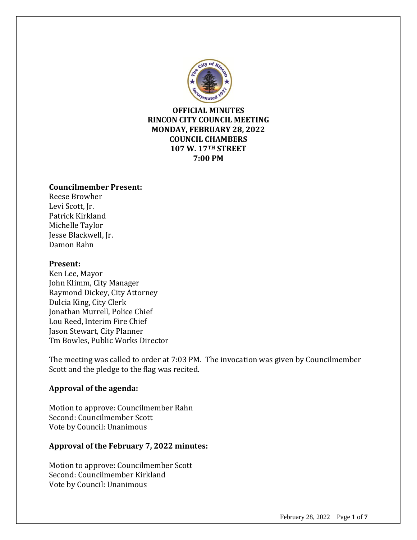

**OFFICIAL MINUTES RINCON CITY COUNCIL MEETING MONDAY, FEBRUARY 28, 2022 COUNCIL CHAMBERS 107 W. 17TH STREET 7:00 PM**

#### **Councilmember Present:**

Reese Browher Levi Scott, Jr. Patrick Kirkland Michelle Taylor Jesse Blackwell, Jr. Damon Rahn

#### **Present:**

Ken Lee, Mayor John Klimm, City Manager Raymond Dickey, City Attorney Dulcia King, City Clerk Jonathan Murrell, Police Chief Lou Reed, Interim Fire Chief Jason Stewart, City Planner Tm Bowles, Public Works Director

The meeting was called to order at 7:03 PM. The invocation was given by Councilmember Scott and the pledge to the flag was recited.

## **Approval of the agenda:**

Motion to approve: Councilmember Rahn Second: Councilmember Scott Vote by Council: Unanimous

# **Approval of the February 7, 2022 minutes:**

Motion to approve: Councilmember Scott Second: Councilmember Kirkland Vote by Council: Unanimous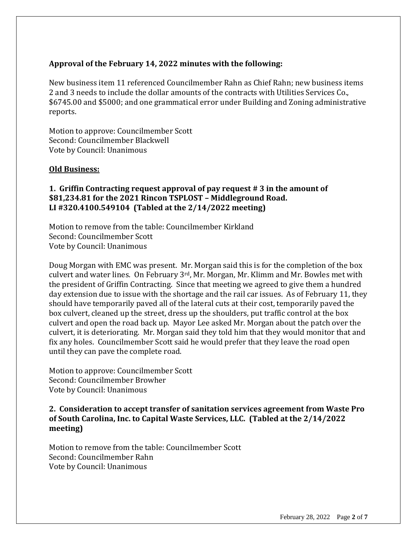## **Approval of the February 14, 2022 minutes with the following:**

New business item 11 referenced Councilmember Rahn as Chief Rahn; new business items 2 and 3 needs to include the dollar amounts of the contracts with Utilities Services Co., \$6745.00 and \$5000; and one grammatical error under Building and Zoning administrative reports.

Motion to approve: Councilmember Scott Second: Councilmember Blackwell Vote by Council: Unanimous

#### **Old Business:**

## **1. Griffin Contracting request approval of pay request # 3 in the amount of \$81,234.81 for the 2021 Rincon TSPLOST – Middleground Road. LI #320.4100.549104 (Tabled at the 2/14/2022 meeting)**

Motion to remove from the table: Councilmember Kirkland Second: Councilmember Scott Vote by Council: Unanimous

Doug Morgan with EMC was present. Mr. Morgan said this is for the completion of the box culvert and water lines. On February 3rd, Mr. Morgan, Mr. Klimm and Mr. Bowles met with the president of Griffin Contracting. Since that meeting we agreed to give them a hundred day extension due to issue with the shortage and the rail car issues. As of February 11, they should have temporarily paved all of the lateral cuts at their cost, temporarily paved the box culvert, cleaned up the street, dress up the shoulders, put traffic control at the box culvert and open the road back up. Mayor Lee asked Mr. Morgan about the patch over the culvert, it is deteriorating. Mr. Morgan said they told him that they would monitor that and fix any holes. Councilmember Scott said he would prefer that they leave the road open until they can pave the complete road.

Motion to approve: Councilmember Scott Second: Councilmember Browher Vote by Council: Unanimous

# **2. Consideration to accept transfer of sanitation services agreement from Waste Pro of South Carolina, Inc. to Capital Waste Services, LLC. (Tabled at the 2/14/2022 meeting)**

Motion to remove from the table: Councilmember Scott Second: Councilmember Rahn Vote by Council: Unanimous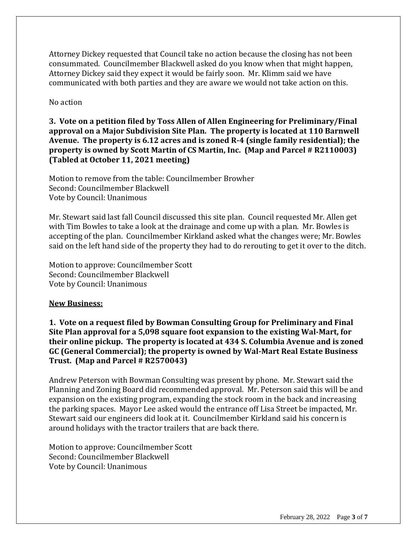Attorney Dickey requested that Council take no action because the closing has not been consummated. Councilmember Blackwell asked do you know when that might happen, Attorney Dickey said they expect it would be fairly soon. Mr. Klimm said we have communicated with both parties and they are aware we would not take action on this.

No action

**3. Vote on a petition filed by Toss Allen of Allen Engineering for Preliminary/Final approval on a Major Subdivision Site Plan. The property is located at 110 Barnwell Avenue. The property is 6.12 acres and is zoned R-4 (single family residential); the property is owned by Scott Martin of CS Martin, Inc. (Map and Parcel # R2110003) (Tabled at October 11, 2021 meeting)**

Motion to remove from the table: Councilmember Browher Second: Councilmember Blackwell Vote by Council: Unanimous

Mr. Stewart said last fall Council discussed this site plan. Council requested Mr. Allen get with Tim Bowles to take a look at the drainage and come up with a plan. Mr. Bowles is accepting of the plan. Councilmember Kirkland asked what the changes were; Mr. Bowles said on the left hand side of the property they had to do rerouting to get it over to the ditch.

Motion to approve: Councilmember Scott Second: Councilmember Blackwell Vote by Council: Unanimous

#### **New Business:**

**1. Vote on a request filed by Bowman Consulting Group for Preliminary and Final Site Plan approval for a 5,098 square foot expansion to the existing Wal-Mart, for their online pickup. The property is located at 434 S. Columbia Avenue and is zoned GC (General Commercial); the property is owned by Wal-Mart Real Estate Business Trust. (Map and Parcel # R2570043)**

Andrew Peterson with Bowman Consulting was present by phone. Mr. Stewart said the Planning and Zoning Board did recommended approval. Mr. Peterson said this will be and expansion on the existing program, expanding the stock room in the back and increasing the parking spaces. Mayor Lee asked would the entrance off Lisa Street be impacted, Mr. Stewart said our engineers did look at it. Councilmember Kirkland said his concern is around holidays with the tractor trailers that are back there.

Motion to approve: Councilmember Scott Second: Councilmember Blackwell Vote by Council: Unanimous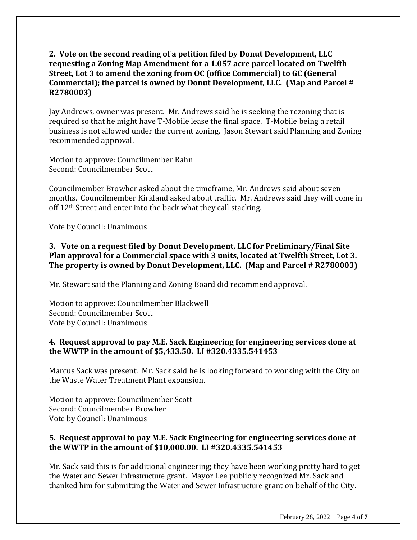# **2. Vote on the second reading of a petition filed by Donut Development, LLC requesting a Zoning Map Amendment for a 1.057 acre parcel located on Twelfth Street, Lot 3 to amend the zoning from OC (office Commercial) to GC (General Commercial); the parcel is owned by Donut Development, LLC. (Map and Parcel # R2780003)**

Jay Andrews, owner was present. Mr. Andrews said he is seeking the rezoning that is required so that he might have T-Mobile lease the final space. T-Mobile being a retail business is not allowed under the current zoning. Jason Stewart said Planning and Zoning recommended approval.

Motion to approve: Councilmember Rahn Second: Councilmember Scott

Councilmember Browher asked about the timeframe, Mr. Andrews said about seven months. Councilmember Kirkland asked about traffic. Mr. Andrews said they will come in off 12<sup>th</sup> Street and enter into the back what they call stacking.

Vote by Council: Unanimous

# **3. Vote on a request filed by Donut Development, LLC for Preliminary/Final Site Plan approval for a Commercial space with 3 units, located at Twelfth Street, Lot 3. The property is owned by Donut Development, LLC. (Map and Parcel # R2780003)**

Mr. Stewart said the Planning and Zoning Board did recommend approval.

Motion to approve: Councilmember Blackwell Second: Councilmember Scott Vote by Council: Unanimous

# **4. Request approval to pay M.E. Sack Engineering for engineering services done at the WWTP in the amount of \$5,433.50. LI #320.4335.541453**

Marcus Sack was present. Mr. Sack said he is looking forward to working with the City on the Waste Water Treatment Plant expansion.

Motion to approve: Councilmember Scott Second: Councilmember Browher Vote by Council: Unanimous

# **5. Request approval to pay M.E. Sack Engineering for engineering services done at the WWTP in the amount of \$10,000.00. LI #320.4335.541453**

Mr. Sack said this is for additional engineering; they have been working pretty hard to get the Water and Sewer Infrastructure grant. Mayor Lee publicly recognized Mr. Sack and thanked him for submitting the Water and Sewer Infrastructure grant on behalf of the City.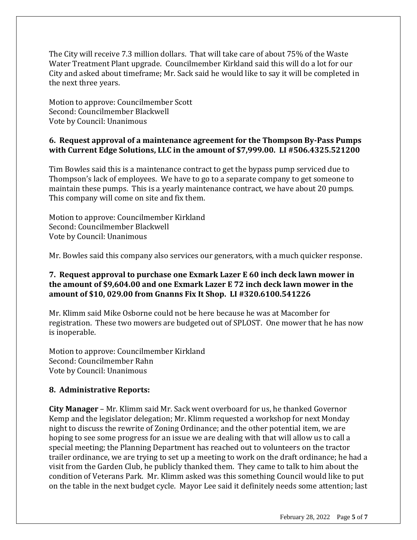The City will receive 7.3 million dollars. That will take care of about 75% of the Waste Water Treatment Plant upgrade. Councilmember Kirkland said this will do a lot for our City and asked about timeframe; Mr. Sack said he would like to say it will be completed in the next three years.

Motion to approve: Councilmember Scott Second: Councilmember Blackwell Vote by Council: Unanimous

## **6. Request approval of a maintenance agreement for the Thompson By-Pass Pumps with Current Edge Solutions, LLC in the amount of \$7,999.00. LI #506.4325.521200**

Tim Bowles said this is a maintenance contract to get the bypass pump serviced due to Thompson's lack of employees. We have to go to a separate company to get someone to maintain these pumps. This is a yearly maintenance contract, we have about 20 pumps. This company will come on site and fix them.

Motion to approve: Councilmember Kirkland Second: Councilmember Blackwell Vote by Council: Unanimous

Mr. Bowles said this company also services our generators, with a much quicker response.

## **7. Request approval to purchase one Exmark Lazer E 60 inch deck lawn mower in the amount of \$9,604.00 and one Exmark Lazer E 72 inch deck lawn mower in the amount of \$10, 029.00 from Gnanns Fix It Shop. LI #320.6100.541226**

Mr. Klimm said Mike Osborne could not be here because he was at Macomber for registration. These two mowers are budgeted out of SPLOST. One mower that he has now is inoperable.

Motion to approve: Councilmember Kirkland Second: Councilmember Rahn Vote by Council: Unanimous

## **8. Administrative Reports:**

**City Manager** – Mr. Klimm said Mr. Sack went overboard for us, he thanked Governor Kemp and the legislator delegation; Mr. Klimm requested a workshop for next Monday night to discuss the rewrite of Zoning Ordinance; and the other potential item, we are hoping to see some progress for an issue we are dealing with that will allow us to call a special meeting; the Planning Department has reached out to volunteers on the tractor trailer ordinance, we are trying to set up a meeting to work on the draft ordinance; he had a visit from the Garden Club, he publicly thanked them. They came to talk to him about the condition of Veterans Park. Mr. Klimm asked was this something Council would like to put on the table in the next budget cycle. Mayor Lee said it definitely needs some attention; last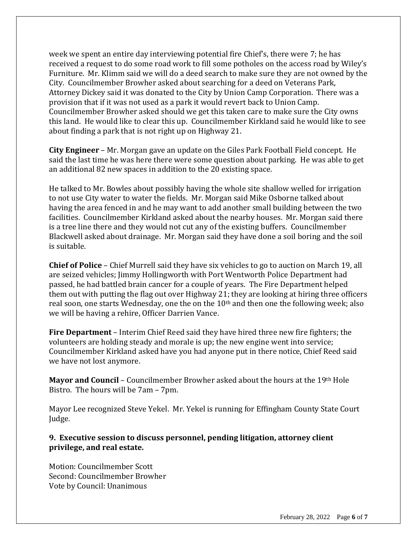week we spent an entire day interviewing potential fire Chief's, there were 7; he has received a request to do some road work to fill some potholes on the access road by Wiley's Furniture. Mr. Klimm said we will do a deed search to make sure they are not owned by the City. Councilmember Browher asked about searching for a deed on Veterans Park, Attorney Dickey said it was donated to the City by Union Camp Corporation. There was a provision that if it was not used as a park it would revert back to Union Camp. Councilmember Browher asked should we get this taken care to make sure the City owns this land. He would like to clear this up. Councilmember Kirkland said he would like to see about finding a park that is not right up on Highway 21.

**City Engineer** – Mr. Morgan gave an update on the Giles Park Football Field concept. He said the last time he was here there were some question about parking. He was able to get an additional 82 new spaces in addition to the 20 existing space.

He talked to Mr. Bowles about possibly having the whole site shallow welled for irrigation to not use City water to water the fields. Mr. Morgan said Mike Osborne talked about having the area fenced in and he may want to add another small building between the two facilities. Councilmember Kirkland asked about the nearby houses. Mr. Morgan said there is a tree line there and they would not cut any of the existing buffers. Councilmember Blackwell asked about drainage. Mr. Morgan said they have done a soil boring and the soil is suitable.

**Chief of Police** – Chief Murrell said they have six vehicles to go to auction on March 19, all are seized vehicles; Jimmy Hollingworth with Port Wentworth Police Department had passed, he had battled brain cancer for a couple of years. The Fire Department helped them out with putting the flag out over Highway 21; they are looking at hiring three officers real soon, one starts Wednesday, one the on the 10<sup>th</sup> and then one the following week; also we will be having a rehire, Officer Darrien Vance.

**Fire Department** – Interim Chief Reed said they have hired three new fire fighters; the volunteers are holding steady and morale is up; the new engine went into service; Councilmember Kirkland asked have you had anyone put in there notice, Chief Reed said we have not lost anymore.

**Mayor and Council** – Councilmember Browher asked about the hours at the 19th Hole Bistro. The hours will be 7am – 7pm.

Mayor Lee recognized Steve Yekel. Mr. Yekel is running for Effingham County State Court Judge.

**9. Executive session to discuss personnel, pending litigation, attorney client privilege, and real estate.**

Motion: Councilmember Scott Second: Councilmember Browher Vote by Council: Unanimous